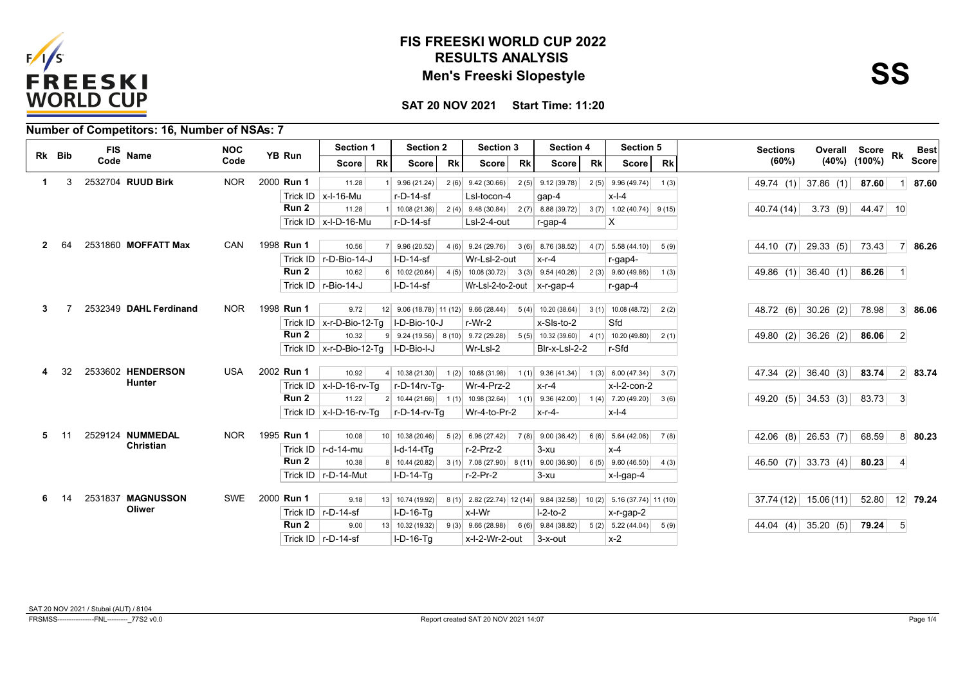

## **RESULTS ANALYSIS FIS FREESKI WORLD CUP 2022 Men's Freeski Slopestyle**

**SAT 20 NOV 2021 Start Time: 11:20**

| Number of Competitors: 16, Number of NSAs: 7 |  |
|----------------------------------------------|--|
|----------------------------------------------|--|

|    | Rk Bib | <b>FIS</b>        | <b>Name</b>            | <b>NOC</b> | YB Run           | Section 1                        |           | <b>Section 2</b>                                 |           | <b>Section 3</b>               |           | <b>Section 4</b>     |           | <b>Section 5</b>             |           | <b>Sections</b>     | Overall Score |          | <b>Rk</b>      | <b>Best</b>  |
|----|--------|-------------------|------------------------|------------|------------------|----------------------------------|-----------|--------------------------------------------------|-----------|--------------------------------|-----------|----------------------|-----------|------------------------------|-----------|---------------------|---------------|----------|----------------|--------------|
|    |        | Code              |                        | Code       |                  | Score                            | <b>Rk</b> | <b>Score</b>                                     | <b>Rk</b> | <b>Score</b>                   | <b>Rk</b> | Score                | <b>Rk</b> | <b>Score</b>                 | <b>Rk</b> | (60%)               | (40%) (100%)  |          |                | <b>Score</b> |
|    | 3      | 2532704 RUUD Birk |                        | <b>NOR</b> | 2000 Run 1       | 11.28                            |           | 9.96(21.24)                                      |           | $2(6)$ 9.42 (30.66)            |           | $2(5)$ 9.12 (39.78)  |           | $2(5)$ 9.96 (49.74)          | 1(3)      | 49.74 $(1)$         | 37.86 $(1)$   | 87.60    | $\vert$ 1      | 87.60        |
|    |        |                   |                        |            |                  | Trick ID $\vert$ x-l-16-Mu       |           | r-D-14-sf                                        |           | Lsl-tocon-4                    |           | gap-4                |           | $x-l-4$                      |           |                     |               |          |                |              |
|    |        |                   |                        |            | Run <sub>2</sub> | 11.28                            |           | 10.08 (21.36)                                    |           | $2(4)$ 9.48 (30.84)            |           | $2(7)$ 8.88 (39.72)  |           | $3(7)$ 1.02 (40.74) 9 (15)   |           | 40.74 (14)          | 3.73(9)       | 44.47 10 |                |              |
|    |        |                   |                        |            |                  | Trick ID   $x$ -I-D-16-Mu        |           | r-D-14-sf                                        |           | LsI-2-4-out                    |           | $r-gap-4$            |           | х                            |           |                     |               |          |                |              |
|    |        |                   |                        |            |                  |                                  |           |                                                  |           |                                |           |                      |           |                              |           |                     |               |          |                |              |
|    |        |                   | 2531860 MOFFATT Max    | CAN        | 1998 Run 1       | 10.56                            |           | 9.96(20.52)                                      |           | $4(6)$ 9.24 (29.76)            |           | $3(6)$ 8.76 (38.52)  |           | $4(7)$ 5.58 (44.10)          | 5(9)      | 44.10 (7) 29.33 (5) |               | 73.43    |                | 7 86.26      |
|    |        |                   |                        |            |                  | Trick ID   r-D-Bio-14-J          |           | $I-D-14-sf$                                      |           | Wr-Lsl-2-out                   |           | $x-r-4$              |           | r-gap4-                      |           |                     |               |          |                |              |
|    |        |                   |                        |            | Run 2            | 10.62                            |           | $6$ 10.02 (20.64)                                |           | $4(5)$ 10.08 (30.72)           |           | $3(3)$ 9.54 (40.26)  |           | $2(3)$ 9.60 (49.86)          | 1(3)      | 49.86 (1) 36.40 (1) |               | 86.26    | $\vert$ 1      |              |
|    |        |                   |                        |            |                  | Trick ID $\vert$ r-Bio-14-J      |           | $I-D-14-sf$                                      |           | Wr-LsI-2-to-2-out $x$ -r-gap-4 |           |                      |           | r-gap-4                      |           |                     |               |          |                |              |
|    |        |                   | 2532349 DAHL Ferdinand | <b>NOR</b> | 1998 Run 1       | 9.72                             |           | $12$ 9.06 (18.78) 11 (12) 9.66 (28.44)           |           |                                |           | $5(4)$ 10.20 (38.64) |           | $3(1)$ 10.08 (48.72)         | 2(2)      | 48.72 (6) 30.26 (2) |               | 78.98    |                | $3 \, 86.06$ |
|    |        |                   |                        |            |                  | Trick ID $x$ -r-D-Bio-12-Tq      |           | I-D-Bio-10-J                                     |           | $r-Wr-2$                       |           | x-Sls-to-2           |           | Sfd                          |           |                     |               |          |                |              |
|    |        |                   |                        |            | Run <sub>2</sub> | 10.32                            |           | $9 \mid 9.24(19.56) \mid 8(10) \mid 9.72(29.28)$ |           |                                | 5(5)      | 10.32 (39.60)        |           | $4(1)$ 10.20 (49.80)         | 2(1)      | 49.80 $(2)$         | $36.26$ (2)   | 86.06    | $\overline{2}$ |              |
|    |        |                   |                        |            |                  | Trick ID   $x$ -r-D-Bio-12-Tq    |           | I-D-Bio-I-J                                      |           | Wr-LsI-2                       |           | Blr-x-Lsl-2-2        |           | r-Sfd                        |           |                     |               |          |                |              |
|    |        |                   |                        |            |                  |                                  |           |                                                  |           |                                |           |                      |           |                              |           |                     |               |          |                |              |
|    | 32     |                   | 2533602 HENDERSON      | <b>USA</b> | 2002 Run 1       | 10.92                            |           | $4 \mid 10.38(21.30) \mid$                       |           | $1(2)$ 10.68 (31.98)           |           | $1(1)$ 9.36 (41.34)  |           | 1(3) 6.00(47.34)             | 3(7)      | 47.34 (2)           | 36.40(3)      | 83.74    |                | 2 83.74      |
|    |        |                   | <b>Hunter</b>          |            |                  | Trick ID $x$ -I-D-16-rv-Tq       |           | r-D-14rv-Ta-                                     |           | Wr-4-Prz-2                     |           | $x-r-4$              |           | $x-l-2$ -con-2               |           |                     |               |          |                |              |
|    |        |                   |                        |            | Run <sub>2</sub> | 11.22                            |           | $2 \mid 10.44(21.66) \mid$                       |           | $1(1)$ 10.98 (32.64)           |           | $1(1)$ 9.36 (42.00)  |           | $1(4)$ 7.20 (49.20)          | 3(6)      | 49.20 $(5)$         | 34.53(3)      | 83.73    | 3              |              |
|    |        |                   |                        |            |                  | Trick ID $\vert x$ -I-D-16-rv-Tq |           | r-D-14-rv-Tq                                     |           | Wr-4-to-Pr-2                   |           | x-r-4-               |           | $x-l-4$                      |           |                     |               |          |                |              |
| 5. | 11     |                   | 2529124 NUMMEDAL       | <b>NOR</b> | 1995 Run 1       | 10.08                            |           | 10 10.38 (20.46)                                 |           | $5(2)$ 6.96 (27.42)            |           | $7(8)$ 9.00 (36.42)  |           | $6(6)$ 5.64 (42.06)          | 7(8)      | 42.06 (8)           | 26.53 $(7)$   | 68.59    |                | 8 80.23      |
|    |        |                   | <b>Christian</b>       |            |                  | Trick ID $\vert$ r-d-14-mu       |           | $I-d-14-tTq$                                     |           | $r-2-Prz-2$                    |           | $3-xu$               |           | $x-4$                        |           |                     |               |          |                |              |
|    |        |                   |                        |            | Run <sub>2</sub> | 10.38                            |           | 8 10.44 (20.82)                                  |           | $3(1)$ 7.08 (27.90)<br>8(11)   |           | 9.00(36.90)          |           | $6(5)$ 9.60 (46.50)          | 4(3)      | 46.50 (7) 33.73 (4) |               | 80.23    | $\vert$ 4      |              |
|    |        |                   |                        |            |                  | Trick ID $\vert$ r-D-14-Mut      |           | <b>I-D-14-Ta</b>                                 |           | $r-2-Pr-2$                     |           | $3-xu$               |           | x-l-gap-4                    |           |                     |               |          |                |              |
|    |        |                   |                        |            |                  |                                  |           |                                                  |           |                                |           |                      |           |                              |           |                     |               |          |                |              |
| 6. | 14     |                   | 2531837 MAGNUSSON      | <b>SWE</b> | 2000 Run 1       | 9.18                             |           | 13 10.74 (19.92)                                 |           | $8(1)$ 2.82 (22.74) 12 (14)    |           | 9.84(32.58)          |           | $10(2)$ 5.16 (37.74) 11 (10) |           | 37.74(12)           | 15.06(11)     | 52.80    |                | 12 79.24     |
|    |        |                   | Oliwer                 |            |                  | Trick ID $\vert$ r-D-14-sf       |           | $I-D-16-Tq$                                      |           | x-l-Wr                         |           | $I-2-to-2$           |           | $x$ -r-gap-2                 |           |                     |               |          |                |              |
|    |        |                   |                        |            | Run <sub>2</sub> | 9.00                             |           | 13 10.32 (19.32)                                 |           | $9(3)$ 9.66 (28.98)            |           | $6(6)$ 9.84 (38.82)  |           | $5(2)$ 5.22 (44.04)          | 5(9)      | 44.04 (4)           | 35.20(5)      | 79.24    | 5 <sup>5</sup> |              |
|    |        |                   |                        |            |                  | Trick ID $\vert$ r-D-14-sf       |           | $I-D-16-Ta$                                      |           | x-l-2-Wr-2-out                 |           | 3-x-out              |           | $x-2$                        |           |                     |               |          |                |              |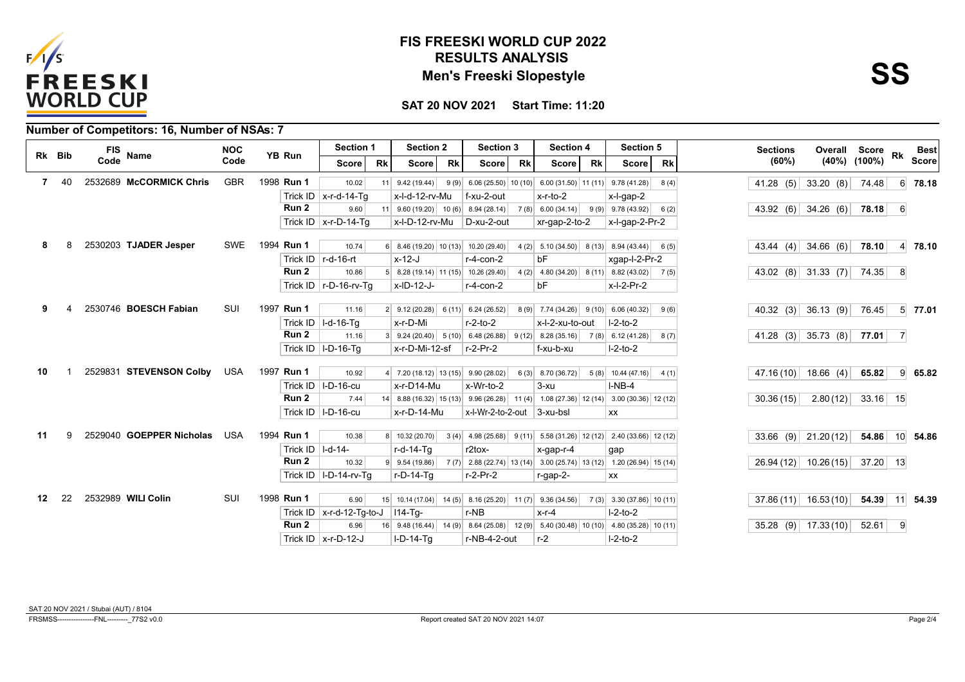

## **RESULTS ANALYSIS FIS FREESKI WORLD CUP 2022 Men's Freeski Slopestyle**

**SS**

**SAT 20 NOV 2021 Start Time: 11:20**

| Number of Competitors: 16, Number of NSAs: 7 |  |
|----------------------------------------------|--|
|----------------------------------------------|--|

| Rk Bib |    | FIS<br><b>Name</b>       | <b>NOC</b> | YB Run             | Section 1                     |           | <b>Section 2</b>                                                                      |      | Section 3                                                                                   |           | <b>Section 4</b>                                                                                                       | Section 5                   |           | <b>Sections</b> |                             | Overall Score      |                | Best            |
|--------|----|--------------------------|------------|--------------------|-------------------------------|-----------|---------------------------------------------------------------------------------------|------|---------------------------------------------------------------------------------------------|-----------|------------------------------------------------------------------------------------------------------------------------|-----------------------------|-----------|-----------------|-----------------------------|--------------------|----------------|-----------------|
|        |    | Code                     | Code       |                    | <b>Score</b>                  | <b>Rk</b> | <b>Score</b>                                                                          | Rk   | <b>Score</b>                                                                                | <b>Rk</b> | <b>Rk</b><br>Score                                                                                                     | Score                       | <b>Rk</b> | (60%)           |                             | $(40\%)$ $(100\%)$ |                | <b>Score</b>    |
| 7      | 40 | 2532689 McCORMICK Chris  | <b>GBR</b> | 1998 Run 1         | 10.02                         | 11        | 9.42(19.44)                                                                           |      |                                                                                             |           | $9(9)$ 6.06 (25.50) 10 (10) 6.00 (31.50) 11 (11)                                                                       | 9.78(41.28)                 | 8(4)      |                 | 41.28 (5) 33.20 (8)         | 74.48              |                | $6$ 78.18       |
|        |    |                          |            |                    | Trick ID $x$ -r-d-14-Tq       |           | x-l-d-12-rv-Mu                                                                        |      | f-xu-2-out                                                                                  |           | $x-r-to-2$                                                                                                             | x-l-gap-2                   |           |                 |                             |                    |                |                 |
|        |    |                          |            | Run <sub>2</sub>   | 9.60                          |           | $11 \mid 9.60(19.20) \mid 10(6) \mid$                                                 |      | 8.94(28.14)                                                                                 |           | 7(8) 6.00(34.14)                                                                                                       | $9(9)$ 9.78 (43.92)         | 6(2)      |                 | 43.92 (6) 34.26 (6)         | 78.18              | 6 <sup>1</sup> |                 |
|        |    |                          |            |                    | Trick ID $x$ -r-D-14-Tq       |           | x-l-D-12-rv-Mu                                                                        |      | D-xu-2-out                                                                                  |           | xr-gap-2-to-2                                                                                                          | x-l-gap-2-Pr-2              |           |                 |                             |                    |                |                 |
|        |    |                          |            |                    |                               |           |                                                                                       |      |                                                                                             |           |                                                                                                                        |                             |           |                 |                             |                    |                |                 |
|        |    | 2530203 TJADER Jesper    | <b>SWE</b> | 1994 <b>Run 1</b>  | 10.74                         |           | $6$ 8.46 (19.20) 10 (13)                                                              |      | 10.20 (29.40)                                                                               |           | $4(2)$ 5.10 (34.50) 8 (13)                                                                                             | $8.94(43.44)$ 6(5)          |           |                 | 43.44 (4) 34.66 (6)         | 78.10              |                | $4 \mid 78.10$  |
|        |    |                          |            |                    | Trick ID   r-d-16-rt          |           | $x-12-J$                                                                              |      | $r-4$ -con-2                                                                                |           | bF                                                                                                                     | xgap-l-2-Pr-2               |           |                 |                             |                    |                |                 |
|        |    |                          |            | Run 2              | 10.86                         |           | $5 \mid 8.28(19.14) \mid 11(15) \mid$                                                 |      | 10.26 (29.40)                                                                               |           | $4(2)$ 4.80 (34.20) 8 (11)                                                                                             | $8.82(43.02)$ 7(5)          |           |                 | 43.02 (8) 31.33 (7) 74.35   |                    | 8              |                 |
|        |    |                          |            |                    | Trick ID $\vert$ r-D-16-rv-Tq |           | x-ID-12-J-                                                                            |      | $r-4$ -con-2                                                                                |           | bF                                                                                                                     | x-l-2-Pr-2                  |           |                 |                             |                    |                |                 |
|        |    |                          |            |                    |                               |           |                                                                                       |      |                                                                                             |           |                                                                                                                        |                             |           |                 |                             |                    |                |                 |
|        |    | 2530746 BOESCH Fabian    | SUI        | 1997 Run 1         | 11.16                         |           | $2 \begin{array}{ c c c c c } 9.12 & (20.28) & 6 & (11) & 6.24 & (26.52) \end{array}$ |      |                                                                                             |           | $8(9)$ 7.74 (34.26) 9 (10)                                                                                             | 6.06(40.32)                 | 9(6)      |                 | 40.32 (3) 36.13 (9) 76.45   |                    |                | $5$ 77.01       |
|        |    |                          |            |                    | Trick ID   I-d-16-Tg          |           | x-r-D-Mi                                                                              |      | $r-2-to-2$                                                                                  |           | x-l-2-xu-to-out                                                                                                        | $ -2$ -to-2                 |           |                 |                             |                    |                |                 |
|        |    |                          |            | Run 2              | 11.16                         |           |                                                                                       |      | $3 \mid 9.24 \ (20.40) \mid 5 \ (10) \mid 6.48 \ (26.88) \mid 9 \ (12) \mid 8.28 \ (35.16)$ |           |                                                                                                                        | $7(8)$ 6.12 (41.28)         | 8(7)      |                 | 41.28 (3) 35.73 (8) 77.01 7 |                    |                |                 |
|        |    |                          |            |                    | Trick ID   I-D-16-Tq          |           | x-r-D-Mi-12-sf                                                                        |      | $r-2-Pr-2$                                                                                  |           | f-xu-b-xu                                                                                                              | $I-2-to-2$                  |           |                 |                             |                    |                |                 |
|        |    |                          |            |                    |                               |           |                                                                                       |      |                                                                                             |           |                                                                                                                        |                             |           |                 |                             |                    |                |                 |
| 10     |    | 2529831 STEVENSON Colby  | USA        | 1997 Run 1         | 10.92                         |           | $4$ 7.20 (18.12) 13 (15) 9.90 (28.02)                                                 |      |                                                                                             |           | $6(3)$ 8.70 (36.72)                                                                                                    | $5(8)$ 10.44 (47.16)        | 4(1)      |                 | 47.16 (10) 18.66 (4)        | 65.82              |                | $9 \quad 65.82$ |
|        |    |                          |            |                    | Trick ID   I-D-16-cu          |           | x-r-D14-Mu                                                                            |      | x-Wr-to-2                                                                                   |           | $3-xu$                                                                                                                 | $I-NB-4$                    |           |                 |                             |                    |                |                 |
|        |    |                          |            | Run 2              | 7.44                          |           |                                                                                       |      |                                                                                             |           | $14 \begin{pmatrix} 8.88 & (16.32) & 15 & (13) & 9.96 & (26.28) & 11 & (4) & 1.08 & (27.36) & 12 & (14) \end{pmatrix}$ | $3.00(30.36)$ 12 (12)       |           | 30.36(15)       | 2.80(12)                    | $33.16$ 15         |                |                 |
|        |    |                          |            |                    | Trick ID   I-D-16-cu          |           | x-r-D-14-Mu                                                                           |      | $x$ -l-Wr-2-to-2-out 3-xu-bsl                                                               |           |                                                                                                                        | <b>XX</b>                   |           |                 |                             |                    |                |                 |
| 11     | g  | 2529040 GOEPPER Nicholas | <b>USA</b> | 1994 Run 1         | 10.38                         |           | 8 10.32 (20.70)                                                                       | 3(4) |                                                                                             |           | $4.98(25.68)$ $9(11)$ 5.58 (31.26) 12 (12)                                                                             | $2.40(33.66)$ 12 (12)       |           |                 | $33.66$ (9) $21.20(12)$     | 54.86              |                | 10 54.86        |
|        |    |                          |            | Trick ID   I-d-14- |                               |           | r-d-14-Tq                                                                             |      | r2tox-                                                                                      |           | x-gap-r-4                                                                                                              | gap                         |           |                 |                             |                    |                |                 |
|        |    |                          |            | Run <sub>2</sub>   | 10.32                         |           | $9 \mid 9.54(19.86)$                                                                  |      |                                                                                             |           | $7(7)$ 2.88 (22.74) 13 (14) 3.00 (25.74) 13 (12) 1.20 (26.94) 15 (14)                                                  |                             |           |                 | $26.94(12)$ 10.26(15)       | $37.20$ 13         |                |                 |
|        |    |                          |            |                    | Trick ID   I-D-14-rv-Tq       |           | r-D-14-Ta                                                                             |      | $r-2-Pr-2$                                                                                  |           | $r$ -gap-2-                                                                                                            | XX                          |           |                 |                             |                    |                |                 |
|        |    |                          |            |                    |                               |           |                                                                                       |      |                                                                                             |           |                                                                                                                        |                             |           |                 |                             |                    |                |                 |
| 12     | 22 | 2532989 WILI Colin       | SUI        | 1998 Run 1         | 6.90                          | 15        |                                                                                       |      | $10.14(17.04)$ 14 (5) 8.16 (25.20) 11 (7) 9.36 (34.56)                                      |           |                                                                                                                        | $7(3)$ 3.30 (37.86) 10 (11) |           |                 | $37.86(11)$ 16.53(10)       | 54.39              |                | 11 54.39        |
|        |    |                          |            |                    | Trick ID $x$ -r-d-12-Tg-to-J  |           | $ 114-Tq-$                                                                            |      | r-NB                                                                                        |           | $x-r-4$                                                                                                                | $I-2-to-2$                  |           |                 |                             |                    |                |                 |
|        |    |                          |            | Run <sub>2</sub>   | 6.96                          |           |                                                                                       |      |                                                                                             |           | 16 9.48 (16.44) 14 (9) 8.64 (25.08) 12 (9) 5.40 (30.48) 10 (10)                                                        | 4.80 $(35.28)$ 10 $(11)$    |           |                 | $35.28$ (9) 17.33(10)       | 52.61              | $\overline{9}$ |                 |
|        |    |                          |            |                    | Trick ID $\vert$ x-r-D-12-J   |           | <b>I-D-14-Ta</b>                                                                      |      | r-NB-4-2-out                                                                                |           | $r-2$                                                                                                                  | $l-2-t$ o-2                 |           |                 |                             |                    |                |                 |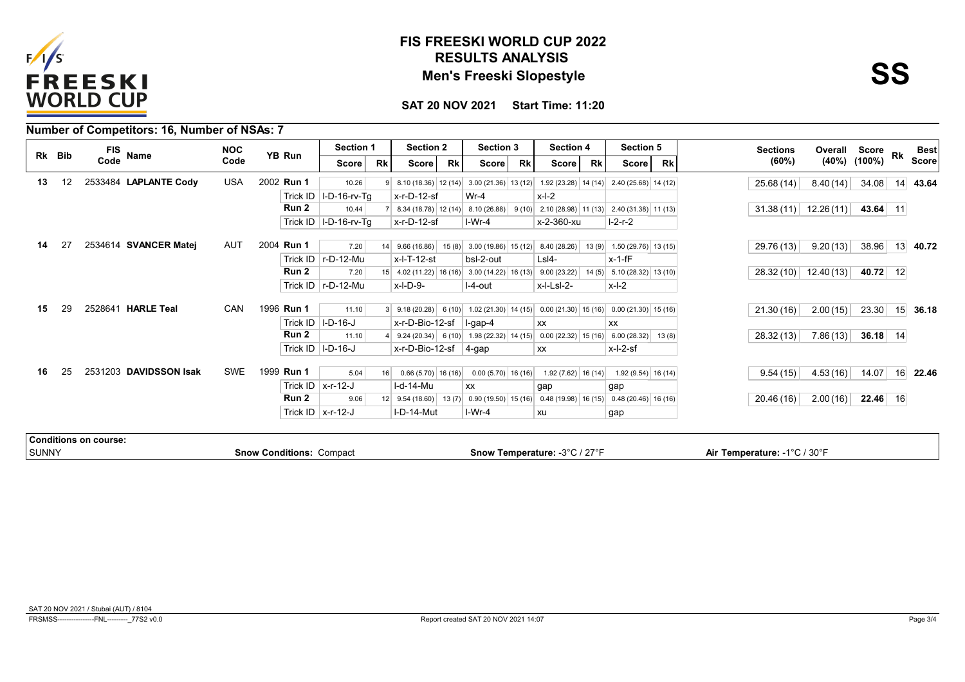

## **RESULTS ANALYSIS FIS FREESKI WORLD CUP 2022 Men's Freeski Slopestyle**

**SAT 20 NOV 2021 Start Time: 11:20**

|       |        |                       | Number of Competitors: 16, Number of NSAs: 7 |            |            |                                 |           |                              |           |                                                                                                |           |                               |           |                       |           |                              |                       |            |    |              |
|-------|--------|-----------------------|----------------------------------------------|------------|------------|---------------------------------|-----------|------------------------------|-----------|------------------------------------------------------------------------------------------------|-----------|-------------------------------|-----------|-----------------------|-----------|------------------------------|-----------------------|------------|----|--------------|
|       | Rk Bib | <b>FIS</b>            | Name                                         | <b>NOC</b> | YB Run     | <b>Section 1</b>                |           | <b>Section 2</b>             |           | <b>Section 3</b>                                                                               |           | <b>Section 4</b>              |           | Section 5             |           | <b>Sections</b>              | Overall Score Rk      |            |    | <b>Best</b>  |
|       |        | Code                  |                                              | Code       |            | Score                           | <b>Rk</b> | <b>Score</b>                 | <b>Rk</b> | <b>Score</b>                                                                                   | <b>Rk</b> | <b>Score</b>                  | <b>Rk</b> | Score                 | <b>Rk</b> | (60%)                        | (40%)                 | (100%)     |    | <b>Score</b> |
| 13    | 12     |                       | 2533484 LAPLANTE Cody                        | <b>USA</b> | 2002 Run 1 | 10.26                           | 91        |                              |           | $8.10(18.36)$ 12 (14) 3.00 (21.36) 13 (12)                                                     |           | $1.92(23.28)$ 14 (14)         |           | $2.40(25.68)$ 14 (12) |           | 25.68(14)                    | 8.40(14)              | 34.08      | 14 | 43.64        |
|       |        |                       |                                              |            |            | Trick ID   I-D-16-rv-Tq         |           | $x-r-D-12-sf$                |           | $Wr-4$                                                                                         |           | $x-l-2$                       |           |                       |           |                              |                       |            |    |              |
|       |        |                       |                                              |            | Run 2      | 10.44                           |           |                              |           | $8.34(18.78)$ 12 (14) 8.10 (26.88)                                                             |           | $9(10)$ 2.10 (28.98) 11 (13)  |           | $2.40(31.38)$ 11 (13) |           |                              | $31.38(11)$ 12.26(11) | $43.64$ 11 |    |              |
|       |        |                       |                                              |            |            | Trick ID   I-D-16-rv-Tg         |           | $x-r-D-12-sf$                |           | I-Wr-4                                                                                         |           | x-2-360-xu                    |           | $I-2-r-2$             |           |                              |                       |            |    |              |
|       |        |                       |                                              |            |            |                                 |           |                              |           |                                                                                                |           |                               |           |                       |           |                              |                       |            |    |              |
| 14    | 27     |                       | 2534614 SVANCER Matej                        | AUT        | 2004 Run 1 | 7.20                            | 14        |                              |           | 9.66 (16.86) 15 (8) 3.00 (19.86) 15 (12) 8.40 (28.26) 13 (9) 1.50 (29.76) 13 (15)              |           |                               |           |                       |           | 29.76 (13)                   | 9.20(13)              | 38.96      |    | 13 40.72     |
|       |        |                       |                                              |            |            | Trick ID   r-D-12-Mu            |           | $x$ -l-T-12-st               |           | bsl-2-out                                                                                      |           | $Lsl4-$                       |           | $x-1-fF$              |           |                              |                       |            |    |              |
|       |        |                       |                                              |            | Run 2      | 7.20                            |           |                              |           | $15$ 4.02 (11.22) 16 (16) 3.00 (14.22) 16 (13)                                                 |           | 9.00(23.22)                   | 14(5)     | $5.10(28.32)$ 13 (10) |           |                              | $28.32(10)$ 12.40(13) | 40.72 12   |    |              |
|       |        |                       |                                              |            |            | Trick ID   r-D-12-Mu            |           | $x$ -l-D-9-                  |           | I-4-out                                                                                        |           | x-l-Lsl-2-                    |           | $x-l-2$               |           |                              |                       |            |    |              |
| 15    | 29     |                       | 2528641 HARLE Teal                           | <b>CAN</b> | 1996 Run 1 | 11.10                           |           |                              |           | $3 \mid 9.18(20.28) \mid 6(10) \mid 1.02(21.30) \mid 14(15) \mid 0.00(21.30) \mid 15(16) \mid$ |           |                               |           | $0.00(21.30)$ 15 (16) |           | 21.30(16)                    | 2.00(15)              | 23.30      |    | $15$ 36.18   |
|       |        |                       |                                              |            |            | Trick ID $ I-D-16-J $           |           | x-r-D-Bio-12-sf              |           | $ $ l-gap-4                                                                                    |           | <b>XX</b>                     |           | <b>XX</b>             |           |                              |                       |            |    |              |
|       |        |                       |                                              |            | Run 2      | 11.10                           |           |                              |           | $9.24(20.34)$ 6(10) 1.98(22.32) 14(15)                                                         |           | $0.00(22.32)$ 15 (16)         |           | $6.00(28.32)$ 13(8)   |           | 28.32(13)                    | 7.86(13)              | 36.18 $14$ |    |              |
|       |        |                       |                                              |            |            | Trick ID $ I-D-16-J $           |           |                              |           |                                                                                                |           |                               |           |                       |           |                              |                       |            |    |              |
|       |        |                       |                                              |            |            |                                 |           | $x$ -r-D-Bio-12-sf $ 4$ -gap |           |                                                                                                |           | <b>XX</b>                     |           | $x$ -l-2-sf           |           |                              |                       |            |    |              |
| 16    | 25     |                       | 2531203 DAVIDSSON Isak                       | <b>SWE</b> | 1999 Run 1 | 5.04                            | 16        | $0.66(5.70)$ 16 (16)         |           | $0.00(5.70)$ 16 (16)                                                                           |           | $1.92(7.62)$ 16 (14)          |           | $1.92(9.54)$ 16 (14)  |           | 9.54(15)                     | 4.53(16)              | 14.07      |    | 16 22.46     |
|       |        |                       |                                              |            |            | Trick ID $\vert$ x-r-12-J       |           | I-d-14-Mu                    |           | <b>XX</b>                                                                                      |           | gap                           |           | gap                   |           |                              |                       |            |    |              |
|       |        |                       |                                              |            | Run 2      | 9.06                            |           |                              |           | $12 \begin{pmatrix} 9.54 & (18.60) & 13 & (7) & 0.90 & (19.50) & 15 & (16) \end{pmatrix}$      |           | $0.48(19.98)$ 16 (15)         |           | $0.48(20.46)$ 16 (16) |           | 20.46(16)                    | 2.00(16)              | $22.46$ 16 |    |              |
|       |        |                       |                                              |            |            | Trick ID $\vert$ x-r-12-J       |           | I-D-14-Mut                   |           | $I-Wr-4$                                                                                       |           | xu                            |           | gap                   |           |                              |                       |            |    |              |
|       |        |                       |                                              |            |            |                                 |           |                              |           |                                                                                                |           |                               |           |                       |           |                              |                       |            |    |              |
|       |        | Conditions on course: |                                              |            |            |                                 |           |                              |           |                                                                                                |           |                               |           |                       |           |                              |                       |            |    |              |
| SUNNY |        |                       |                                              |            |            | <b>Snow Conditions: Compact</b> |           |                              |           |                                                                                                |           | Snow Temperature: -3°C / 27°F |           |                       |           | Air Temperature: -1°C / 30°F |                       |            |    |              |